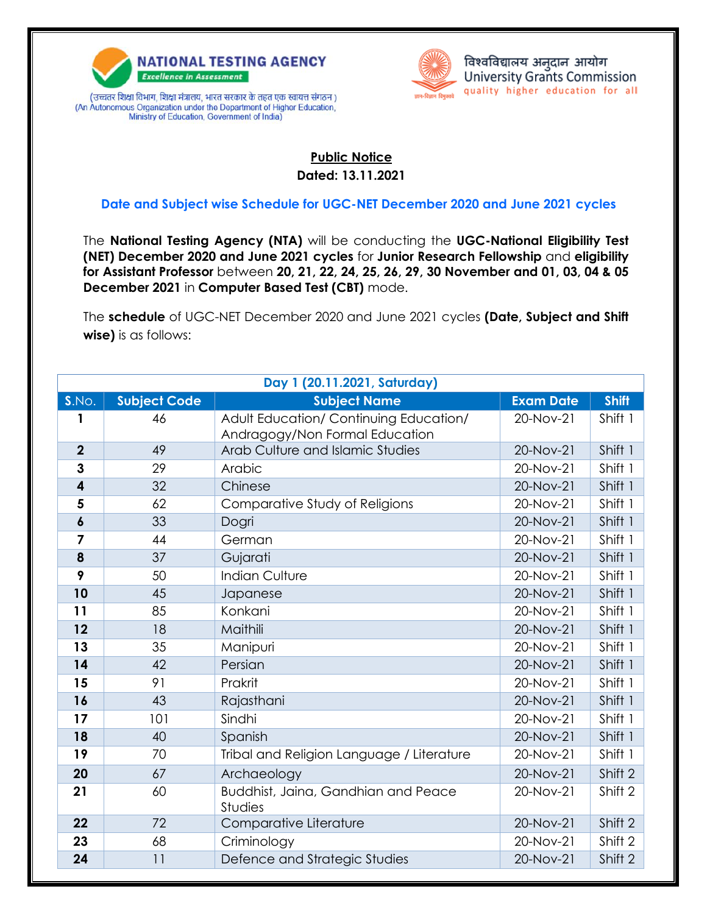

(An Autonomous Organization under the Department of Higher Education, Ministry of Education, Government of India)



## **Public Notice Dated: 13.11.2021**

## **Date and Subject wise Schedule for UGC-NET December 2020 and June 2021 cycles**

The **National Testing Agency (NTA)** will be conducting the **UGC-National Eligibility Test (NET) December 2020 and June 2021 cycles** for **Junior Research Fellowship** and **eligibility for Assistant Professor** between **20, 21, 22, 24, 25, 26, 29, 30 November and 01, 03, 04 & 05 December 2021** in **Computer Based Test (CBT)** mode.

The **schedule** of UGC-NET December 2020 and June 2021 cycles **(Date, Subject and Shift wise)** is as follows:

| Day 1 (20.11.2021, Saturday) |                     |                                                                          |                  |              |
|------------------------------|---------------------|--------------------------------------------------------------------------|------------------|--------------|
| S.NO.                        | <b>Subject Code</b> | <b>Subject Name</b>                                                      | <b>Exam Date</b> | <b>Shift</b> |
| 1                            | 46                  | Adult Education/ Continuing Education/<br>Andragogy/Non Formal Education | 20-Nov-21        | Shift 1      |
| $\overline{2}$               | 49                  | Arab Culture and Islamic Studies                                         | 20-Nov-21        | Shift 1      |
| 3                            | 29                  | Arabic                                                                   | 20-Nov-21        | Shift 1      |
| 4                            | 32                  | Chinese                                                                  | 20-Nov-21        | Shift 1      |
| 5                            | 62                  | Comparative Study of Religions                                           | 20-Nov-21        | Shift 1      |
| 6                            | 33                  | Dogri                                                                    | 20-Nov-21        | Shift 1      |
| 7                            | 44                  | German                                                                   | 20-Nov-21        | Shift 1      |
| 8                            | 37                  | Gujarati                                                                 | 20-Nov-21        | Shift 1      |
| 9                            | 50                  | <b>Indian Culture</b>                                                    | 20-Nov-21        | Shift 1      |
| 10                           | 45                  | Japanese                                                                 | 20-Nov-21        | Shift 1      |
| 11                           | 85                  | Konkani                                                                  | 20-Nov-21        | Shift 1      |
| 12                           | 18                  | Maithili                                                                 | 20-Nov-21        | Shift 1      |
| 13                           | 35                  | Manipuri                                                                 | 20-Nov-21        | Shift 1      |
| 14                           | 42                  | Persian                                                                  | 20-Nov-21        | Shift 1      |
| 15                           | 91                  | Prakrit                                                                  | 20-Nov-21        | Shift 1      |
| 16                           | 43                  | Rajasthani                                                               | 20-Nov-21        | Shift 1      |
| 17                           | 101                 | Sindhi                                                                   | 20-Nov-21        | Shift 1      |
| 18                           | 40                  | Spanish                                                                  | 20-Nov-21        | Shift 1      |
| 19                           | 70                  | Tribal and Religion Language / Literature                                | 20-Nov-21        | Shift 1      |
| 20                           | 67                  | Archaeology                                                              | 20-Nov-21        | Shift 2      |
| 21                           | 60                  | Buddhist, Jaina, Gandhian and Peace<br><b>Studies</b>                    | 20-Nov-21        | Shift 2      |
| 22                           | 72                  | Comparative Literature                                                   | 20-Nov-21        | Shift 2      |
| 23                           | 68                  | Criminology                                                              | 20-Nov-21        | Shift 2      |
| 24                           | 11                  | Defence and Strategic Studies                                            | 20-Nov-21        | Shift 2      |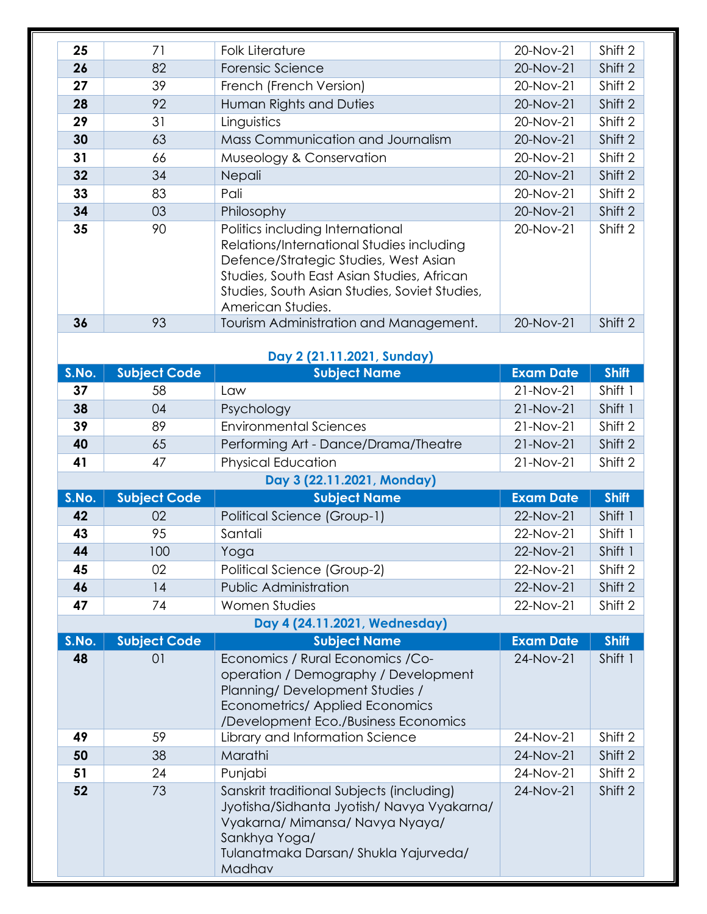| 25                         | 71                  | <b>Folk Literature</b>                                                                                                                                                                                                                     | 20-Nov-21        | Shift 2      |
|----------------------------|---------------------|--------------------------------------------------------------------------------------------------------------------------------------------------------------------------------------------------------------------------------------------|------------------|--------------|
| 26                         | 82                  | Forensic Science                                                                                                                                                                                                                           | 20-Nov-21        | Shift 2      |
| 27                         | 39                  | French (French Version)                                                                                                                                                                                                                    | 20-Nov-21        | Shift 2      |
| 28                         | 92                  | Human Rights and Duties                                                                                                                                                                                                                    | 20-Nov-21        | Shift 2      |
| 29                         | 31                  | Linguistics                                                                                                                                                                                                                                | 20-Nov-21        | Shift 2      |
| 30                         | 63                  | Mass Communication and Journalism                                                                                                                                                                                                          | 20-Nov-21        | Shift 2      |
| 31                         | 66                  | Museology & Conservation                                                                                                                                                                                                                   | 20-Nov-21        | Shift 2      |
| 32                         | 34                  | Nepali                                                                                                                                                                                                                                     | 20-Nov-21        | Shift 2      |
| 33                         | 83                  | Pali                                                                                                                                                                                                                                       | 20-Nov-21        | Shift 2      |
| 34                         | 03                  | Philosophy                                                                                                                                                                                                                                 | 20-Nov-21        | Shift 2      |
| 35                         | 90                  | Politics including International<br>Relations/International Studies including<br>Defence/Strategic Studies, West Asian<br>Studies, South East Asian Studies, African<br>Studies, South Asian Studies, Soviet Studies,<br>American Studies. | 20-Nov-21        | Shift 2      |
| 36                         | 93                  | Tourism Administration and Management.                                                                                                                                                                                                     | 20-Nov-21        | Shift 2      |
| Day 2 (21.11.2021, Sunday) |                     |                                                                                                                                                                                                                                            |                  |              |
| S.No.                      | <b>Subject Code</b> | <b>Subject Name</b>                                                                                                                                                                                                                        | <b>Exam Date</b> | <b>Shift</b> |
| 37                         | 58                  | Law                                                                                                                                                                                                                                        | 21-Nov-21        | Shift 1      |
| 38                         | 04                  | Psychology                                                                                                                                                                                                                                 | 21-Nov-21        | Shift 1      |
| 39                         | 89                  | <b>Environmental Sciences</b>                                                                                                                                                                                                              | 21-Nov-21        | Shift 2      |
| 40                         | 65                  | Performing Art - Dance/Drama/Theatre                                                                                                                                                                                                       | 21-Nov-21        | Shift 2      |
| 41                         | 47                  | <b>Physical Education</b>                                                                                                                                                                                                                  | 21-Nov-21        | Shift 2      |
|                            |                     | Day 3 (22.11.2021, Monday)                                                                                                                                                                                                                 |                  |              |
| S.No.                      | <b>Subject Code</b> | <b>Subject Name</b>                                                                                                                                                                                                                        | <b>Exam Date</b> | <b>Shift</b> |
| 42                         | 02                  | <b>Political Science (Group-1)</b>                                                                                                                                                                                                         | 22-Nov-21        | Shift 1      |
| 43                         | 95                  | Santali                                                                                                                                                                                                                                    | 22-Nov-21        | Shift 1      |
| 44                         | 100                 | Yoga                                                                                                                                                                                                                                       | 22-Nov-21        | Shift 1      |
| 45                         | 02                  | Political Science (Group-2)                                                                                                                                                                                                                | 22-Nov-21        | Shift 2      |
| 46                         | 14                  | <b>Public Administration</b>                                                                                                                                                                                                               | 22-Nov-21        | Shift 2      |
| 47                         | 74                  | <b>Women Studies</b>                                                                                                                                                                                                                       | 22-Nov-21        | Shift 2      |
|                            |                     | Day 4 (24.11.2021, Wednesday)                                                                                                                                                                                                              |                  |              |
| S.No.                      | <b>Subject Code</b> | <b>Subject Name</b>                                                                                                                                                                                                                        | <b>Exam Date</b> | <b>Shift</b> |
| 48                         | 01                  | Economics / Rural Economics / Co-<br>operation / Demography / Development<br>Planning/Development Studies /<br><b>Econometrics/ Applied Economics</b><br>/Development Eco./Business Economics                                              | 24-Nov-21        | Shift 1      |
| 49                         | 59                  | Library and Information Science                                                                                                                                                                                                            | 24-Nov-21        | Shift 2      |
| 50                         | 38                  | Marathi                                                                                                                                                                                                                                    | 24-Nov-21        | Shift 2      |
| 51                         | 24                  | Punjabi                                                                                                                                                                                                                                    | 24-Nov-21        | Shift 2      |
| 52                         | 73                  | Sanskrit traditional Subjects (including)<br>Jyotisha/Sidhanta Jyotish/ Navya Vyakarna/<br>Vyakarna/ Mimansa/ Navya Nyaya/<br>Sankhya Yoga/<br>Tulanatmaka Darsan/ Shukla Yajurveda/<br>Madhav                                             | 24-Nov-21        | Shift 2      |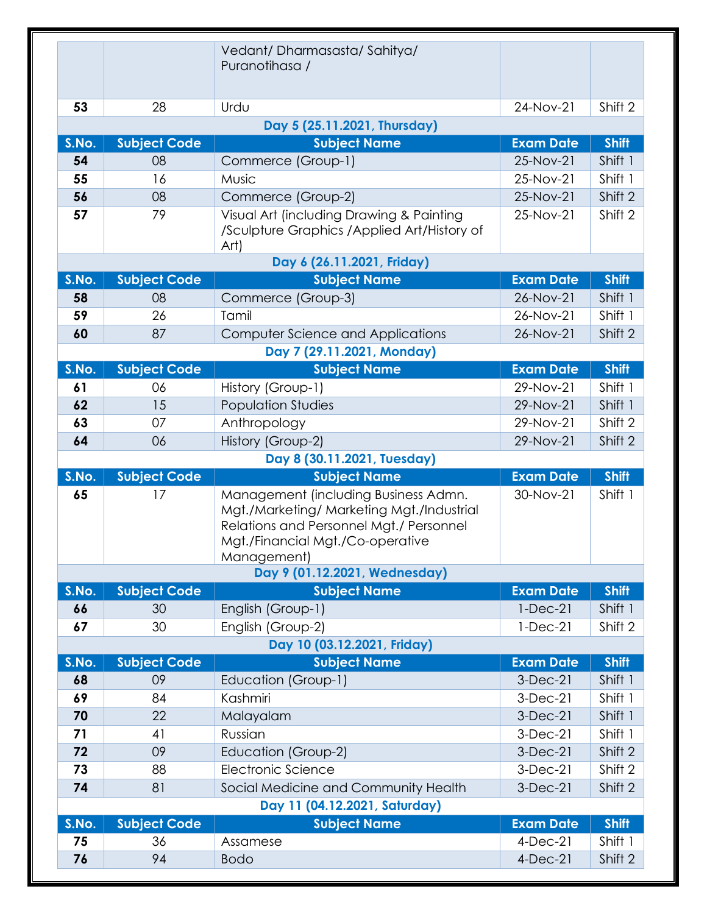|                                      |                           | Vedant/Dharmasasta/Sahitya/<br>Puranotihasa /                                                                                                                                   |                                 |                         |  |  |
|--------------------------------------|---------------------------|---------------------------------------------------------------------------------------------------------------------------------------------------------------------------------|---------------------------------|-------------------------|--|--|
| 53                                   | 28                        | Urdu                                                                                                                                                                            | 24-Nov-21                       | Shift 2                 |  |  |
|                                      |                           | Day 5 (25.11.2021, Thursday)                                                                                                                                                    |                                 |                         |  |  |
| S.No.                                | <b>Subject Code</b>       | <b>Subject Name</b>                                                                                                                                                             | <b>Exam Date</b>                | <b>Shift</b>            |  |  |
| 54                                   | 08                        | Commerce (Group-1)                                                                                                                                                              | 25-Nov-21                       | Shift 1                 |  |  |
| 55                                   | 16                        | Music                                                                                                                                                                           | 25-Nov-21                       | Shift 1                 |  |  |
| 56                                   | 08                        | Commerce (Group-2)                                                                                                                                                              | 25-Nov-21                       | Shift 2                 |  |  |
| 57                                   | 79                        | Visual Art (including Drawing & Painting<br>/Sculpture Graphics / Applied Art/History of<br>Art)                                                                                | 25-Nov-21                       | Shift 2                 |  |  |
|                                      |                           | Day 6 (26.11.2021, Friday)                                                                                                                                                      |                                 |                         |  |  |
| S.No.                                | <b>Subject Code</b>       | <b>Subject Name</b>                                                                                                                                                             | <b>Exam Date</b>                | <b>Shift</b>            |  |  |
| 58                                   | 08                        | Commerce (Group-3)                                                                                                                                                              | 26-Nov-21                       | Shift 1                 |  |  |
| 59                                   | 26                        | Tamil                                                                                                                                                                           | 26-Nov-21                       | Shift 1                 |  |  |
| 60                                   | 87                        | <b>Computer Science and Applications</b>                                                                                                                                        | 26-Nov-21                       | Shift 2                 |  |  |
|                                      |                           | Day 7 (29.11.2021, Monday)                                                                                                                                                      |                                 |                         |  |  |
| S.No.                                | <b>Subject Code</b>       | <b>Subject Name</b>                                                                                                                                                             | <b>Exam Date</b>                | <b>Shift</b>            |  |  |
| 61                                   | 06                        | History (Group-1)                                                                                                                                                               | 29-Nov-21                       | Shift 1                 |  |  |
| 62                                   | 15                        | <b>Population Studies</b>                                                                                                                                                       | 29-Nov-21                       | Shift 1                 |  |  |
| 63                                   | 07                        | Anthropology                                                                                                                                                                    | 29-Nov-21                       | Shift 2                 |  |  |
| 64                                   | 06                        | History (Group-2)                                                                                                                                                               | 29-Nov-21                       | Shift 2                 |  |  |
|                                      |                           | Day 8 (30.11.2021, Tuesday)                                                                                                                                                     |                                 |                         |  |  |
| S.No.                                | <b>Subject Code</b>       | <b>Subject Name</b>                                                                                                                                                             | <b>Exam Date</b>                | <b>Shift</b>            |  |  |
| 65                                   | 17                        | Management (including Business Admn.<br>Mgt./Marketing/ Marketing Mgt./Industrial<br>Relations and Personnel Mgt./ Personnel<br>Mgt./Financial Mgt./Co-operative<br>Management) | 30-Nov-21                       | Shift 1                 |  |  |
|                                      |                           | Day 9 (01.12.2021, Wednesday)                                                                                                                                                   |                                 |                         |  |  |
| S.No.                                | <b>Subject Code</b>       | <b>Subject Name</b>                                                                                                                                                             | <b>Exam Date</b>                | <b>Shift</b>            |  |  |
| 66                                   | 30                        | English (Group-1)                                                                                                                                                               | $1-Dec-21$                      | Shift 1                 |  |  |
| 67                                   | 30                        | English (Group-2)                                                                                                                                                               | $1-Dec-21$                      | Shift 2                 |  |  |
| Day 10 (03.12.2021, Friday)<br>S.No. |                           |                                                                                                                                                                                 |                                 |                         |  |  |
| 68                                   | <b>Subject Code</b><br>09 | <b>Subject Name</b>                                                                                                                                                             | <b>Exam Date</b><br>$3-Dec-21$  | <b>Shift</b><br>Shift 1 |  |  |
| 69                                   | 84                        | Education (Group-1)<br>Kashmiri                                                                                                                                                 | $3-Dec-21$                      | Shift 1                 |  |  |
| 70                                   | 22                        | Malayalam                                                                                                                                                                       | $3-Dec-21$                      | Shift 1                 |  |  |
| 71                                   | 41                        | Russian                                                                                                                                                                         | $3-Dec-21$                      | Shift 1                 |  |  |
|                                      |                           |                                                                                                                                                                                 |                                 |                         |  |  |
|                                      |                           |                                                                                                                                                                                 |                                 |                         |  |  |
| 72                                   | 09                        | Education (Group-2)                                                                                                                                                             | $3-Dec-21$                      | Shift 2                 |  |  |
| 73                                   | 88                        | Electronic Science                                                                                                                                                              | $3-Dec-21$                      | Shift 2                 |  |  |
| 74                                   | 81                        | Social Medicine and Community Health                                                                                                                                            | $3-Dec-21$                      | Shift 2                 |  |  |
|                                      |                           | Day 11 (04.12.2021, Saturday)                                                                                                                                                   |                                 |                         |  |  |
| S.No.<br>75                          | <b>Subject Code</b><br>36 | <b>Subject Name</b>                                                                                                                                                             | <b>Exam Date</b><br>$4$ -Dec-21 | <b>Shift</b>            |  |  |
| 76                                   | 94                        | Assamese<br><b>Bodo</b>                                                                                                                                                         | $4$ -Dec-21                     | Shift 1<br>Shift 2      |  |  |